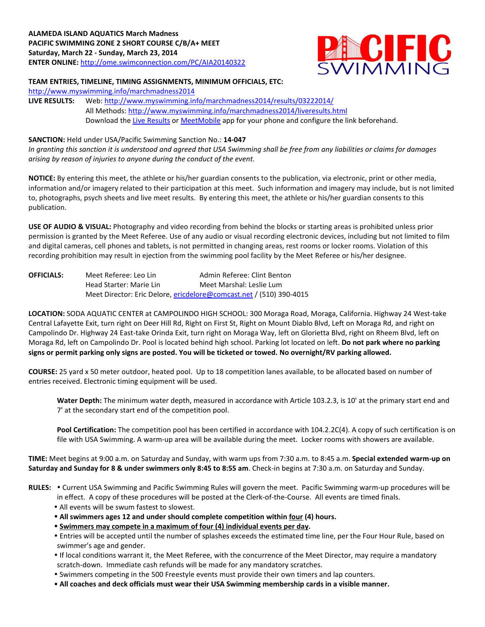

## **TEAM ENTRIES, TIMELINE, TIMING ASSIGNMENTS, MINIMUM OFFICIALS, ETC:**

<http://www.myswimming.info/marchmadness2014>

**LIVE RESULTS:** Web: <http://www.myswimming.info/marchmadness2014/results/03222014/> All Methods:<http://www.myswimming.info/marchmadness2014/liveresults.html> Download th[e Live Results](http://itunes.apple.com/us/app/live-results/id325958282?mt=8) or [MeetMobile](http://itunes.apple.com/us/app/meet-mobile/id422154977?mt=8) app for your phone and configure the link beforehand.

## **SANCTION:** Held under USA/Pacific Swimming Sanction No.: **14-047**

*In granting this sanction it is understood and agreed that USA Swimming shall be free from any liabilities or claims for damages arising by reason of injuries to anyone during the conduct of the event.*

**NOTICE:** By entering this meet, the athlete or his/her guardian consents to the publication, via electronic, print or other media, information and/or imagery related to their participation at this meet. Such information and imagery may include, but is not limited to, photographs, psych sheets and live meet results. By entering this meet, the athlete or his/her guardian consents to this publication.

**USE OF AUDIO & VISUAL:** Photography and video recording from behind the blocks or starting areas is prohibited unless prior permission is granted by the Meet Referee. Use of any audio or visual recording electronic devices, including but not limited to film and digital cameras, cell phones and tablets, is not permitted in changing areas, rest rooms or locker rooms. Violation of this recording prohibition may result in ejection from the swimming pool facility by the Meet Referee or his/her designee.

| <b>OFFICIALS:</b> | Meet Referee: Leo Lin   | Admin Referee: Clint Benton                                         |
|-------------------|-------------------------|---------------------------------------------------------------------|
|                   | Head Starter: Marie Lin | Meet Marshal: Leslie Lum                                            |
|                   |                         | Meet Director: Eric Delore, ericdelore@comcast.net / (510) 390-4015 |

**LOCATION:** SODA AQUATIC CENTER at CAMPOLINDO HIGH SCHOOL: 300 Moraga Road, Moraga, California. Highway 24 West-take Central Lafayette Exit, turn right on Deer Hill Rd, Right on First St, Right on Mount Diablo Blvd, Left on Moraga Rd, and right on Campolindo Dr. Highway 24 East-take Orinda Exit, turn right on Moraga Way, left on Glorietta Blvd, right on Rheem Blvd, left on Moraga Rd, left on Campolindo Dr. Pool is located behind high school. Parking lot located on left. **Do not park where no parking signs or permit parking only signs are posted. You will be ticketed or towed. No overnight/RV parking allowed.**

**COURSE:** 25 yard x 50 meter outdoor, heated pool. Up to 18 competition lanes available, to be allocated based on number of entries received. Electronic timing equipment will be used.

**Water Depth:** The minimum water depth, measured in accordance with Article 103.2.3, is 10' at the primary start end and 7' at the secondary start end of the competition pool.

**Pool Certification:** The competition pool has been certified in accordance with 104.2.2C(4). A copy of such certification is on file with USA Swimming. A warm-up area will be available during the meet. Locker rooms with showers are available.

**TIME:** Meet begins at 9:00 a.m. on Saturday and Sunday, with warm ups from 7:30 a.m. to 8:45 a.m. **Special extended warm-up on Saturday and Sunday for 8 & under swimmers only 8:45 to 8:55 am**. Check-in begins at 7:30 a.m. on Saturday and Sunday.

RULES: . Current USA Swimming and Pacific Swimming Rules will govern the meet. Pacific Swimming warm-up procedures will be in effect. A copy of these procedures will be posted at the Clerk-of-the-Course. All events are timed finals. All events will be swum fastest to slowest.

- **All swimmers ages 12 and under should complete competition within four (4) hours.**
- **Swimmers may compete in a maximum of four (4) individual events per day.**
- Entries will be accepted until the number of splashes exceeds the estimated time line, per the Four Hour Rule, based on swimmer's age and gender.
- If local conditions warrant it, the Meet Referee, with the concurrence of the Meet Director, may require a mandatory scratch-down. Immediate cash refunds will be made for any mandatory scratches.
- Swimmers competing in the 500 Freestyle events must provide their own timers and lap counters.
- **All coaches and deck officials must wear their USA Swimming membership cards in a visible manner.**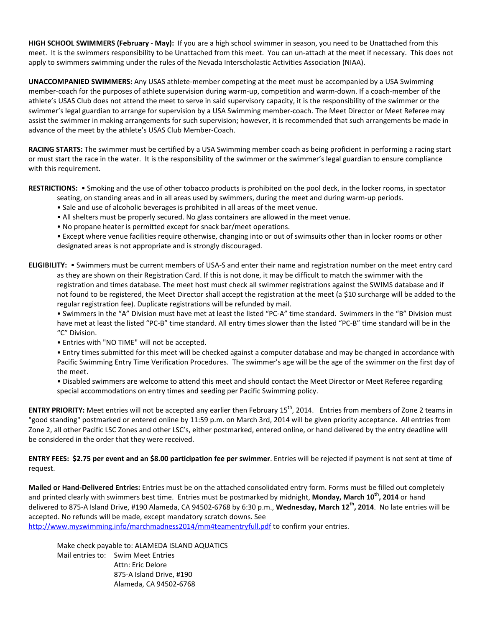**HIGH SCHOOL SWIMMERS (February - May):** If you are a high school swimmer in season, you need to be Unattached from this meet. It is the swimmers responsibility to be Unattached from this meet. You can un-attach at the meet if necessary. This does not apply to swimmers swimming under the rules of the Nevada Interscholastic Activities Association (NIAA).

**UNACCOMPANIED SWIMMERS:** Any USAS athlete-member competing at the meet must be accompanied by a USA Swimming member-coach for the purposes of athlete supervision during warm-up, competition and warm-down. If a coach-member of the athlete's USAS Club does not attend the meet to serve in said supervisory capacity, it is the responsibility of the swimmer or the swimmer's legal guardian to arrange for supervision by a USA Swimming member-coach. The Meet Director or Meet Referee may assist the swimmer in making arrangements for such supervision; however, it is recommended that such arrangements be made in advance of the meet by the athlete's USAS Club Member-Coach.

**RACING STARTS:** The swimmer must be certified by a USA Swimming member coach as being proficient in performing a racing start or must start the race in the water. It is the responsibility of the swimmer or the swimmer's legal guardian to ensure compliance with this requirement.

**RESTRICTIONS:** • Smoking and the use of other tobacco products is prohibited on the pool deck, in the locker rooms, in spectator

- seating, on standing areas and in all areas used by swimmers, during the meet and during warm-up periods.
- Sale and use of alcoholic beverages is prohibited in all areas of the meet venue.
- All shelters must be properly secured. No glass containers are allowed in the meet venue.
- No propane heater is permitted except for snack bar/meet operations.

• Except where venue facilities require otherwise, changing into or out of swimsuits other than in locker rooms or other designated areas is not appropriate and is strongly discouraged.

**ELIGIBILITY:** • Swimmers must be current members of USA-S and enter their name and registration number on the meet entry card as they are shown on their Registration Card. If this is not done, it may be difficult to match the swimmer with the registration and times database. The meet host must check all swimmer registrations against the SWIMS database and if not found to be registered, the Meet Director shall accept the registration at the meet (a \$10 surcharge will be added to the regular registration fee). Duplicate registrations will be refunded by mail.

• Swimmers in the "A" Division must have met at least the listed "PC-A" time standard. Swimmers in the "B" Division must have met at least the listed "PC-B" time standard. All entry times slower than the listed "PC-B" time standard will be in the "C" Division.

• Entries with "NO TIME" will not be accepted.

• Entry times submitted for this meet will be checked against a computer database and may be changed in accordance with Pacific Swimming Entry Time Verification Procedures. The swimmer's age will be the age of the swimmer on the first day of the meet.

• Disabled swimmers are welcome to attend this meet and should contact the Meet Director or Meet Referee regarding special accommodations on entry times and seeding per Pacific Swimming policy.

**ENTRY PRIORITY:** Meet entries will not be accepted any earlier then February 15<sup>th</sup>, 2014. Entries from members of Zone 2 teams in "good standing" postmarked or entered online by 11:59 p.m. on March 3rd, 2014 will be given priority acceptance. All entries from Zone 2, all other Pacific LSC Zones and other LSC's, either postmarked, entered online, or hand delivered by the entry deadline will be considered in the order that they were received.

**ENTRY FEES: \$2.75 per event and an \$8.00 participation fee per swimmer**. Entries will be rejected if payment is not sent at time of request.

**Mailed or Hand-Delivered Entries:** Entries must be on the attached consolidated entry form. Forms must be filled out completely and printed clearly with swimmers best time. Entries must be postmarked by midnight, **Monday, March 10th, 2014** or hand delivered to 875-A Island Drive, #190 Alameda, CA 94502-6768 by 6:30 p.m., **Wednesday, March 12th, 2014**. No late entries will be accepted. No refunds will be made, except mandatory scratch downs. See

<http://www.myswimming.info/marchmadness2014/mm4teamentryfull.pdf> to confirm your entries.

Make check payable to: ALAMEDA ISLAND AQUATICS Mail entries to: Swim Meet Entries Attn: Eric Delore 875-A Island Drive, #190 Alameda, CA 94502-6768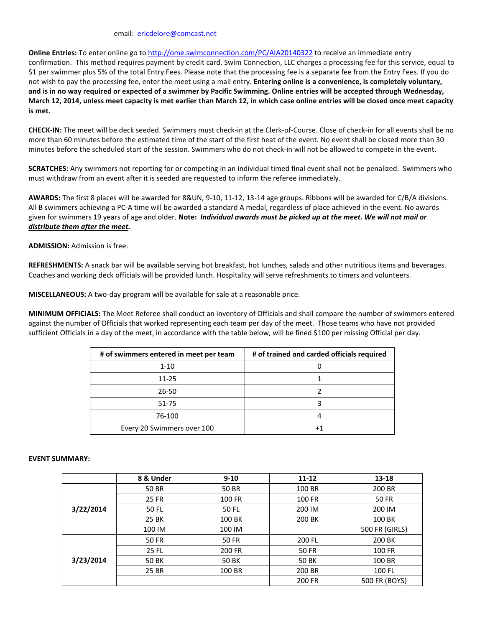email: [ericdelore@comcast.net](mailto:ericdelore@comcast.net)

**Online Entries:** To enter online go to<http://ome.swimconnection.com/PC/AIA20140322> to receive an immediate entry confirmation. This method requires payment by credit card. Swim Connection, LLC charges a processing fee for this service, equal to \$1 per swimmer plus 5% of the total Entry Fees. Please note that the processing fee is a separate fee from the Entry Fees. If you do not wish to pay the processing fee, enter the meet using a mail entry. **Entering online is a convenience, is completely voluntary, and is in no way required or expected of a swimmer by Pacific Swimming. Online entries will be accepted through Wednesday, March 12, 2014, unless meet capacity is met earlier than March 12, in which case online entries will be closed once meet capacity is met.**

**CHECK-IN:** The meet will be deck seeded. Swimmers must check-in at the Clerk-of-Course. Close of check-in for all events shall be no more than 60 minutes before the estimated time of the start of the first heat of the event. No event shall be closed more than 30 minutes before the scheduled start of the session. Swimmers who do not check-in will not be allowed to compete in the event.

**SCRATCHES:** Any swimmers not reporting for or competing in an individual timed final event shall not be penalized. Swimmers who must withdraw from an event after it is seeded are requested to inform the referee immediately.

**AWARDS:** The first 8 places will be awarded for 8&UN, 9-10, 11-12, 13-14 age groups. Ribbons will be awarded for C/B/A divisions. All B swimmers achieving a PC-A time will be awarded a standard A medal, regardless of place achieved in the event. No awards given for swimmers 19 years of age and older. **Note:** *Individual awards must be picked up at the meet. We will not mail or distribute them after the meet.*

**ADMISSION:** Admission is free.

**REFRESHMENTS:** A snack bar will be available serving hot breakfast, hot lunches, salads and other nutritious items and beverages. Coaches and working deck officials will be provided lunch. Hospitality will serve refreshments to timers and volunteers.

**MISCELLANEOUS:** A two-day program will be available for sale at a reasonable price.

**MINIMUM OFFICIALS:** The Meet Referee shall conduct an inventory of Officials and shall compare the number of swimmers entered against the number of Officials that worked representing each team per day of the meet. Those teams who have not provided sufficient Officials in a day of the meet, in accordance with the table below, will be fined \$100 per missing Official per day.

| # of swimmers entered in meet per team | # of trained and carded officials required |
|----------------------------------------|--------------------------------------------|
| $1 - 10$                               |                                            |
| 11-25                                  |                                            |
| 26-50                                  |                                            |
| 51-75                                  |                                            |
| 76-100                                 | 4                                          |
| Every 20 Swimmers over 100             | +1                                         |

## **EVENT SUMMARY:**

|           | 8 & Under    | $9 - 10$      | $11 - 12$    | 13-18          |  |
|-----------|--------------|---------------|--------------|----------------|--|
| 3/22/2014 | 50 BR        | 50 BR         | 100 BR       | 200 BR         |  |
|           | 25 FR        | <b>100 FR</b> | 100 FR       | <b>50 FR</b>   |  |
|           | 50 FL        | 50 FL         | 200 IM       | 200 IM         |  |
|           | 25 BK        | 100 BK        | 200 BK       | 100 BK         |  |
|           | 100 IM       | 100 IM        |              | 500 FR (GIRLS) |  |
| 3/23/2014 | <b>50 FR</b> | <b>50 FR</b>  | 200 FL       | 200 BK         |  |
|           | 25 FL        | 200 FR        | <b>50 FR</b> | <b>100 FR</b>  |  |
|           | 50 BK        | 50 BK         | 50 BK        | 100 BR         |  |
|           | 25 BR        | 100 BR        | 200 BR       | 100 FL         |  |
|           |              |               | 200 FR       | 500 FR (BOYS)  |  |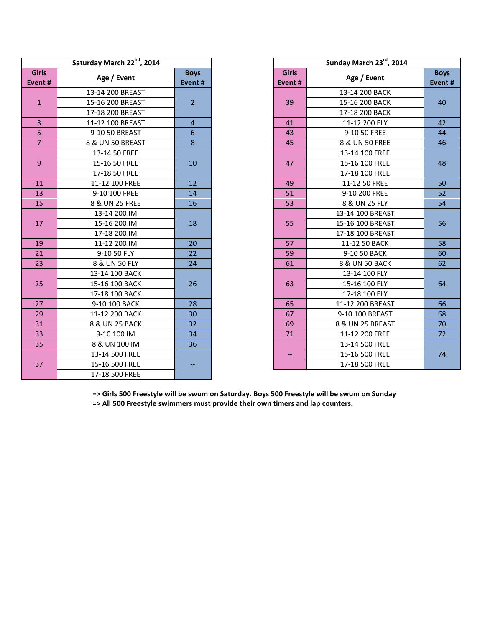| Saturday March 22nd, 2014 |                  |                       |                        | Sunday March 23rd, 2014 |             |  |
|---------------------------|------------------|-----------------------|------------------------|-------------------------|-------------|--|
| <b>Girls</b><br>Event#    | Age / Event      | <b>Boys</b><br>Event# | <b>Girls</b><br>Event# | Age / Event             | Boy<br>Even |  |
|                           | 13-14 200 BREAST |                       |                        | 13-14 200 BACK          |             |  |
| $\mathbf 1$               | 15-16 200 BREAST | $\overline{2}$        | 39                     | 15-16 200 BACK          | 40          |  |
|                           | 17-18 200 BREAST |                       |                        | 17-18 200 BACK          |             |  |
| 3                         | 11-12 100 BREAST | $\overline{a}$        | 41                     | 11-12 200 FLY           | 42          |  |
| $\overline{5}$            | 9-10 50 BREAST   | 6                     | 43                     | 9-10 50 FREE            | 44          |  |
| $\overline{7}$            | 8 & UN 50 BREAST | 8                     | 45                     | 8 & UN 50 FREE          | 46          |  |
|                           | 13-14 50 FREE    |                       |                        | 13-14 100 FREE          |             |  |
| 9                         | 15-16 50 FREE    | 10                    | 47                     | 15-16 100 FREE          | 48          |  |
|                           | 17-18 50 FREE    |                       |                        | 17-18 100 FREE          |             |  |
| 11                        | 11-12 100 FREE   | 12                    | 49                     | 11-12 50 FREE           | 50          |  |
| 13                        | 9-10 100 FREE    | 14                    | 51                     | 9-10 200 FREE           | 52          |  |
| 15                        | 8 & UN 25 FREE   | 16                    | 53                     | 8 & UN 25 FLY           | 54          |  |
|                           | 13-14 200 IM     |                       |                        | 13-14 100 BREAST        |             |  |
| 17                        | 15-16 200 IM     | 18                    | 55                     | 15-16 100 BREAST        | 56          |  |
|                           | 17-18 200 IM     |                       |                        | 17-18 100 BREAST        |             |  |
| 19                        | 11-12 200 IM     | 20                    | 57                     | 11-12 50 BACK           | 58          |  |
| 21                        | 9-10 50 FLY      | 22                    | 59                     | 9-10 50 BACK            | 60          |  |
| 23                        | 8 & UN 50 FLY    | 24                    | 61                     | 8 & UN 50 BACK          | 62          |  |
|                           | 13-14 100 BACK   |                       |                        | 13-14 100 FLY           |             |  |
| 25                        | 15-16 100 BACK   | 26                    | 63                     | 15-16 100 FLY           | 64          |  |
|                           | 17-18 100 BACK   |                       |                        | 17-18 100 FLY           |             |  |
| 27                        | 9-10 100 BACK    | 28                    | 65                     | 11-12 200 BREAST        | 66          |  |
| 29                        | 11-12 200 BACK   | 30                    | 67                     | 9-10 100 BREAST         | 68          |  |
| 31                        | 8 & UN 25 BACK   | 32                    | 69                     | 8 & UN 25 BREAST        | 70          |  |
| 33                        | 9-10 100 IM      | 34                    | 71                     | 11-12 200 FREE          | 72          |  |
| 35                        | 8 & UN 100 IM    | 36                    |                        | 13-14 500 FREE          |             |  |
|                           | 13-14 500 FREE   |                       |                        | 15-16 500 FREE          | 74          |  |
| 37                        | 15-16 500 FREE   |                       |                        | 17-18 500 FREE          |             |  |
|                           | 17-18 500 FREE   |                       |                        |                         |             |  |

| rday March 22 <sup>nd</sup> , 2014 | Sunday March 23rd, 2014 |                                       |                  |             |  |  |
|------------------------------------|-------------------------|---------------------------------------|------------------|-------------|--|--|
| Age / Event                        | <b>Boys</b>             | <b>Girls</b>                          | Age / Event      | <b>Boys</b> |  |  |
|                                    | Event#                  | Event#                                |                  | Event#      |  |  |
| 13-14 200 BREAST                   |                         |                                       | 13-14 200 BACK   |             |  |  |
| 15-16 200 BREAST                   | $\overline{2}$          | 39                                    | 15-16 200 BACK   | 40          |  |  |
| 17-18 200 BREAST                   |                         |                                       | 17-18 200 BACK   |             |  |  |
| 11-12 100 BREAST                   | $\overline{4}$          | 41                                    | 11-12 200 FLY    | 42          |  |  |
| 9-10 50 BREAST                     | $6\phantom{1}$          | 43                                    | 9-10 50 FREE     | 44          |  |  |
| 8 & UN 50 BREAST                   | 8                       | 45                                    | 8 & UN 50 FREE   | 46          |  |  |
| 13-14 50 FREE                      |                         |                                       | 13-14 100 FREE   |             |  |  |
| 15-16 50 FREE                      | 10                      | 47                                    | 15-16 100 FREE   | 48          |  |  |
| 17-18 50 FREE                      |                         |                                       | 17-18 100 FREE   |             |  |  |
| 11-12 100 FREE                     | 12                      | 49                                    | 11-12 50 FREE    | 50          |  |  |
| 9-10 100 FREE                      | 14                      | 51                                    | 9-10 200 FREE    | 52          |  |  |
| 8 & UN 25 FREE                     | 16                      | 53                                    | 8 & UN 25 FLY    | 54          |  |  |
| 13-14 200 IM                       |                         |                                       | 13-14 100 BREAST |             |  |  |
| 15-16 200 IM                       | 18                      | 55                                    | 15-16 100 BREAST | 56          |  |  |
| 17-18 200 IM                       |                         |                                       | 17-18 100 BREAST |             |  |  |
| 11-12 200 IM                       | 20                      | 57                                    | 11-12 50 BACK    | 58          |  |  |
| 9-10 50 FLY                        | 22                      | 59                                    | 9-10 50 BACK     | 60          |  |  |
| 8 & UN 50 FLY                      | 24                      | 61                                    | 8 & UN 50 BACK   | 62          |  |  |
| 13-14 100 BACK                     |                         |                                       | 13-14 100 FLY    |             |  |  |
| 15-16 100 BACK                     | 26                      | 63                                    | 15-16 100 FLY    | 64          |  |  |
| 17-18 100 BACK                     |                         |                                       | 17-18 100 FLY    |             |  |  |
| 9-10 100 BACK                      | 28                      | 65                                    | 11-12 200 BREAST | 66          |  |  |
| 11-12 200 BACK                     | 30                      | 67                                    | 9-10 100 BREAST  | 68          |  |  |
| 8 & UN 25 BACK                     | 32                      | 69                                    | 8 & UN 25 BREAST | 70          |  |  |
| 9-10 100 IM                        | 34                      | 71                                    | 11-12 200 FREE   | 72          |  |  |
| 8 & UN 100 IM                      | 36                      |                                       | 13-14 500 FREE   |             |  |  |
| 13-14 500 FREE                     |                         | $\hspace{0.05cm}$ – $\hspace{0.05cm}$ | 15-16 500 FREE   | 74          |  |  |
| 15-16 500 FREE                     |                         |                                       | 17-18 500 FREE   |             |  |  |

**=> Girls 500 Freestyle will be swum on Saturday. Boys 500 Freestyle will be swum on Sunday**

**=> All 500 Freestyle swimmers must provide their own timers and lap counters.**